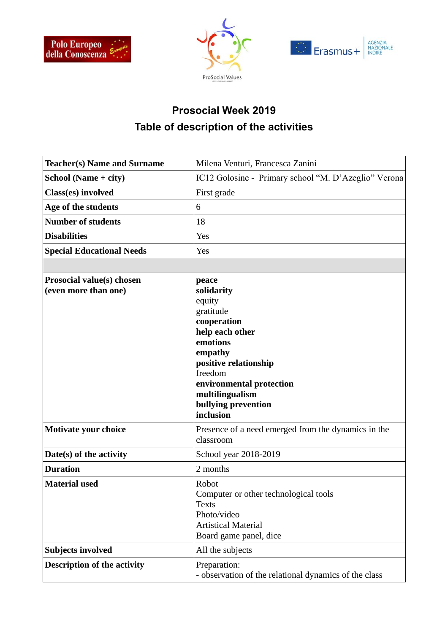





## **Prosocial Week 2019 Table of description of the activities**

| <b>Teacher(s) Name and Surname</b>                       | Milena Venturi, Francesca Zanini                                                                                                                                                                                           |
|----------------------------------------------------------|----------------------------------------------------------------------------------------------------------------------------------------------------------------------------------------------------------------------------|
| School (Name + city)                                     | IC12 Golosine - Primary school "M. D'Azeglio" Verona                                                                                                                                                                       |
| <b>Class(es)</b> involved                                | First grade                                                                                                                                                                                                                |
| Age of the students                                      | 6                                                                                                                                                                                                                          |
| <b>Number of students</b>                                | 18                                                                                                                                                                                                                         |
| <b>Disabilities</b>                                      | Yes                                                                                                                                                                                                                        |
| <b>Special Educational Needs</b>                         | Yes                                                                                                                                                                                                                        |
|                                                          |                                                                                                                                                                                                                            |
| <b>Prosocial value(s) chosen</b><br>(even more than one) | peace<br>solidarity<br>equity<br>gratitude<br>cooperation<br>help each other<br>emotions<br>empathy<br>positive relationship<br>freedom<br>environmental protection<br>multilingualism<br>bullying prevention<br>inclusion |
| <b>Motivate your choice</b>                              | Presence of a need emerged from the dynamics in the<br>classroom                                                                                                                                                           |
| Date(s) of the activity                                  | School year 2018-2019                                                                                                                                                                                                      |
| <b>Duration</b>                                          | 2 months                                                                                                                                                                                                                   |
| <b>Material used</b>                                     | Robot<br>Computer or other technological tools<br><b>Texts</b><br>Photo/video<br><b>Artistical Material</b><br>Board game panel, dice                                                                                      |
| <b>Subjects involved</b>                                 | All the subjects                                                                                                                                                                                                           |
| <b>Description of the activity</b>                       | Preparation:<br>- observation of the relational dynamics of the class                                                                                                                                                      |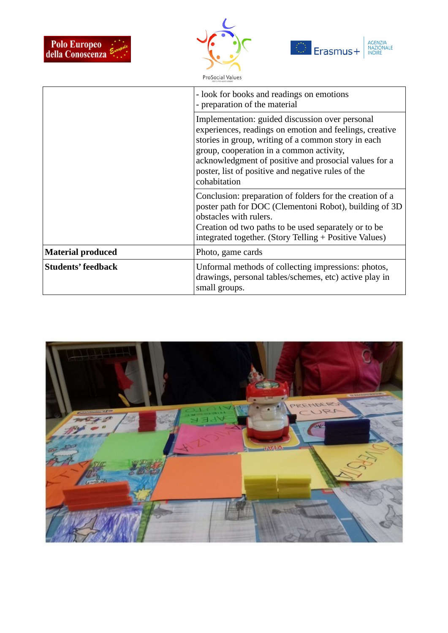



|                           | - look for books and readings on emotions<br>- preparation of the material                                                                                                                                                                                                                                                                   |
|---------------------------|----------------------------------------------------------------------------------------------------------------------------------------------------------------------------------------------------------------------------------------------------------------------------------------------------------------------------------------------|
|                           | Implementation: guided discussion over personal<br>experiences, readings on emotion and feelings, creative<br>stories in group, writing of a common story in each<br>group, cooperation in a common activity,<br>acknowledgment of positive and prosocial values for a<br>poster, list of positive and negative rules of the<br>cohabitation |
|                           | Conclusion: preparation of folders for the creation of a<br>poster path for DOC (Clementoni Robot), building of 3D<br>obstacles with rulers.<br>Creation od two paths to be used separately or to be<br>integrated together. (Story Telling + Positive Values)                                                                               |
| <b>Material produced</b>  | Photo, game cards                                                                                                                                                                                                                                                                                                                            |
| <b>Students' feedback</b> | Unformal methods of collecting impressions: photos,<br>drawings, personal tables/schemes, etc) active play in<br>small groups.                                                                                                                                                                                                               |

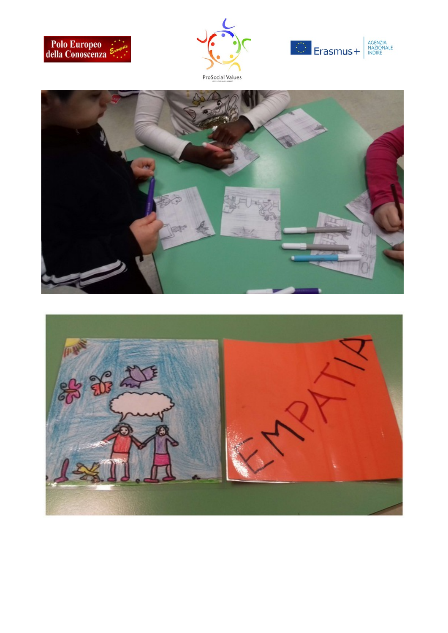